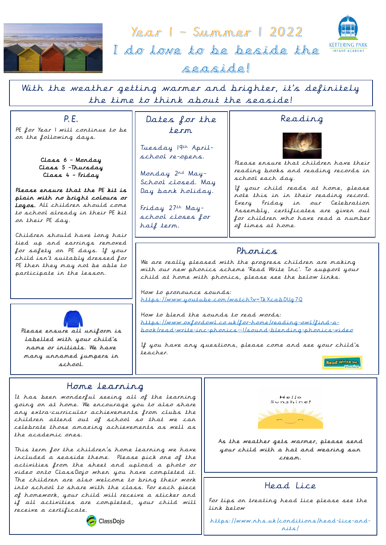

<u>Year | - Summer | 2022</u> I do love to be beside the



seaside!

With the weather getting warmer and brighter, it's definitely the time to think about the seaside!

P.E.

PE for Year I will continue to be on the following days.

> Class 6 – Monday Class 5 –Thursday Class 4 – Friday

Please ensure that the PE kit is plain with no bright colours or logos. All children should come to school already in their PE kit on their PE day.

Children should have long hair tied up and earrings removed for safety on PE days. If your child isn't suitably dressed for PE then they may not be able to participate in the lesson.



Please ensure all uniform is labelled with your child's name or initials. We have many unnamed jumpers in school.

# Dates for the term

Tuesday 19th Aprilschool re-opens.

Monday 2nd May-School closed. May Day bank holiday.

Friday 27th Mayschool closes for half term.

# Reading



Please ensure that children have their reading books and reading records in school each day.

If your child reads at home, please note this in in their reading record. Every Friday in our Celebration Assembly, certificates are given out for children who have read a number of times at home.

# Phonics

We are really pleased with the progress children are making with our new phonics scheme 'Read Write Inc'. To support your child at home with phonics, please see the below links.

How to pronounce sounds: <https://www.youtube.com/watch?v=TkXcabDUg7Q>

How to blend the sounds to read words: [https://www.oxfordowl.co.uk/for-home/reading-owl/find-a](https://www.oxfordowl.co.uk/for-home/reading-owl/find-a-book/read-write-inc-phonics--1/sound-blending-phonics-video)[book/read-write-inc-phonics--1/sound-blending-phonics-video](https://www.oxfordowl.co.uk/for-home/reading-owl/find-a-book/read-write-inc-phonics--1/sound-blending-phonics-video)

If you have any questions, please come and see your child's teacher.

Read Write Inc.

## Home learning

It has been wonderful seeing all of the learning going on at home. We encourage you to also share any extra-curricular achievements from clubs the children attend out of school so that we can celebrate those amazing achievements as well as the academic ones.

This term for the children's home learning we have included a seaside theme. Please pick one of the activities from the sheet and upload a photo or video onto ClassDojo when you have completed it. The children are also welcome to bring their work into school to share with the class. For each piece of homework, your child will receive a sticker and if all activities are completed, your child will receive a certificate.



As the weather gets warmer, please send your child with a hat and wearing sun cream.

### Ï Head Lice

For tips on treating head lice please see the link below

https://www.nhs.uk/conditions/head-lice-andnits/